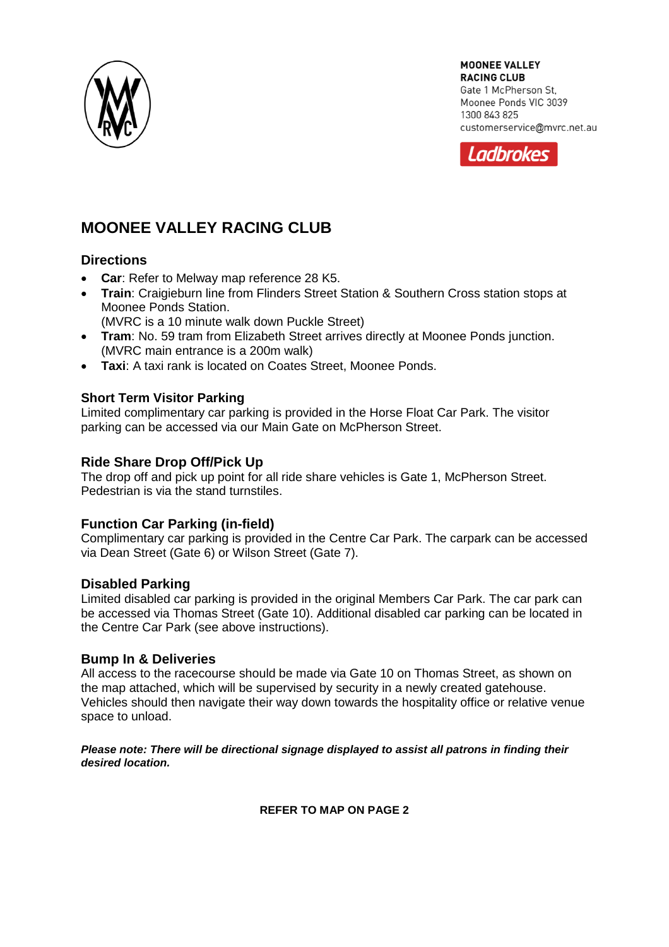

**MOONEE VALLEY RACING CLUB** Gate 1 McPherson St. Moonee Ponds VIC 3039 1300 843 825 customerservice@mvrc.net.au



# **MOONEE VALLEY RACING CLUB**

### **Directions**

- **Car**: Refer to Melway map reference 28 K5.
- **Train**: Craigieburn line from Flinders Street Station & Southern Cross station stops at Moonee Ponds Station.
	- (MVRC is a 10 minute walk down Puckle Street)
- **Tram**: No. 59 tram from Elizabeth Street arrives directly at Moonee Ponds junction. (MVRC main entrance is a 200m walk)
- **Taxi**: A taxi rank is located on Coates Street, Moonee Ponds.

### **Short Term Visitor Parking**

Limited complimentary car parking is provided in the Horse Float Car Park. The visitor parking can be accessed via our Main Gate on McPherson Street.

## **Ride Share Drop Off/Pick Up**

The drop off and pick up point for all ride share vehicles is Gate 1, McPherson Street. Pedestrian is via the stand turnstiles.

### **Function Car Parking (in-field)**

Complimentary car parking is provided in the Centre Car Park. The carpark can be accessed via Dean Street (Gate 6) or Wilson Street (Gate 7).

### **Disabled Parking**

Limited disabled car parking is provided in the original Members Car Park. The car park can be accessed via Thomas Street (Gate 10). Additional disabled car parking can be located in the Centre Car Park (see above instructions).

### **Bump In & Deliveries**

All access to the racecourse should be made via Gate 10 on Thomas Street, as shown on the map attached, which will be supervised by security in a newly created gatehouse. Vehicles should then navigate their way down towards the hospitality office or relative venue space to unload.

#### *Please note: There will be directional signage displayed to assist all patrons in finding their desired location.*

#### **REFER TO MAP ON PAGE 2**